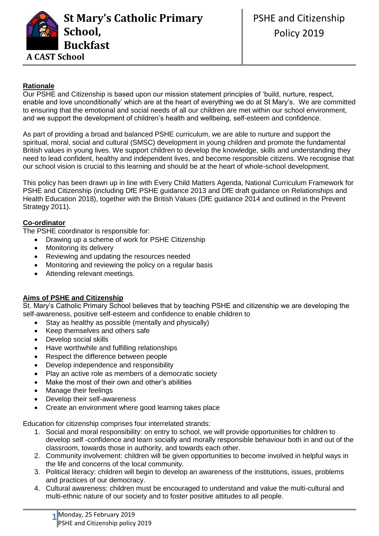

# **Rationale**

Our PSHE and Citizenship is based upon our mission statement principles of 'build, nurture, respect, enable and love unconditionally' which are at the heart of everything we do at St Mary's. We are committed to ensuring that the emotional and social needs of all our children are met within our school environment, and we support the development of children's health and wellbeing, self-esteem and confidence.

As part of providing a broad and balanced PSHE curriculum, we are able to nurture and support the spiritual, moral, social and cultural (SMSC) development in young children and promote the fundamental British values in young lives. We support children to develop the knowledge, skills and understanding they need to lead confident, healthy and independent lives, and become responsible citizens. We recognise that our school vision is crucial to this learning and should be at the heart of whole-school development.

This policy has been drawn up in line with Every Child Matters Agenda, National Curriculum Framework for PSHE and Citizenship (including DfE PSHE guidance 2013 and DfE draft guidance on Relationships and Health Education 2018), together with the British Values (DfE guidance 2014 and outlined in the Prevent Strategy 2011).

# **Co-ordinator**

The PSHE coordinator is responsible for:

- Drawing up a scheme of work for PSHE Citizenship
- Monitoring its delivery
- Reviewing and updating the resources needed
- Monitoring and reviewing the policy on a regular basis
- Attending relevant meetings.

# **Aims of PSHE and Citizenship**

St. Mary's Catholic Primary School believes that by teaching PSHE and citizenship we are developing the self-awareness, positive self-esteem and confidence to enable children to

- Stay as healthy as possible (mentally and physically)
- Keep themselves and others safe
- Develop social skills
- Have worthwhile and fulfilling relationships
- Respect the difference between people
- Develop independence and responsibility
- Play an active role as members of a democratic society
- Make the most of their own and other's abilities
- Manage their feelings
- Develop their self-awareness
- Create an environment where good learning takes place

Education for citizenship comprises four interrelated strands:

- 1. Social and moral responsibility: on entry to school, we will provide opportunities for children to develop self -confidence and learn socially and morally responsible behaviour both in and out of the classroom, towards those in authority, and towards each other.
- 2. Community involvement: children will be given opportunities to become involved in helpful ways in the life and concerns of the local community.
- 3. Political literacy: children will begin to develop an awareness of the institutions, issues, problems and practices of our democracy.
- 4. Cultural awareness: children must be encouraged to understand and value the multi-cultural and multi-ethnic nature of our society and to foster positive attitudes to all people.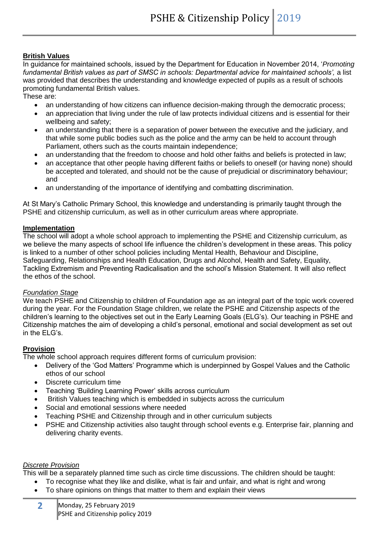# **British Values**

In guidance for maintained schools, issued by the Department for Education in November 2014, '*Promoting*  fundamental British values as part of SMSC in schools: Departmental advice for maintained schools', a list was provided that describes the understanding and knowledge expected of pupils as a result of schools promoting fundamental British values.

These are:

- an understanding of how citizens can influence decision-making through the democratic process;
- an appreciation that living under the rule of law protects individual citizens and is essential for their wellbeing and safety;
- an understanding that there is a separation of power between the executive and the judiciary, and that while some public bodies such as the police and the army can be held to account through Parliament, others such as the courts maintain independence;
- an understanding that the freedom to choose and hold other faiths and beliefs is protected in law;
- an acceptance that other people having different faiths or beliefs to oneself (or having none) should be accepted and tolerated, and should not be the cause of prejudicial or discriminatory behaviour; and
- an understanding of the importance of identifying and combatting discrimination.

At St Mary's Catholic Primary School, this knowledge and understanding is primarily taught through the PSHE and citizenship curriculum, as well as in other curriculum areas where appropriate.

#### **Implementation**

The school will adopt a whole school approach to implementing the PSHE and Citizenship curriculum, as we believe the many aspects of school life influence the children's development in these areas. This policy is linked to a number of other school policies including Mental Health, Behaviour and Discipline, Safeguarding, Relationships and Health Education, Drugs and Alcohol, Health and Safety, Equality, Tackling Extremism and Preventing Radicalisation and the school's Mission Statement. It will also reflect the ethos of the school.

#### *Foundation Stage*

We teach PSHE and Citizenship to children of Foundation age as an integral part of the topic work covered during the year. For the Foundation Stage children, we relate the PSHE and Citizenship aspects of the children's learning to the objectives set out in the Early Learning Goals (ELG's). Our teaching in PSHE and Citizenship matches the aim of developing a child's personal, emotional and social development as set out in the ELG's.

#### **Provision**

The whole school approach requires different forms of curriculum provision:

- Delivery of the 'God Matters' Programme which is underpinned by Gospel Values and the Catholic ethos of our school
- Discrete curriculum time
- Teaching 'Building Learning Power' skills across curriculum
- British Values teaching which is embedded in subjects across the curriculum
- Social and emotional sessions where needed
- Teaching PSHE and Citizenship through and in other curriculum subjects
- PSHE and Citizenship activities also taught through school events e.g. Enterprise fair, planning and delivering charity events.

#### *Discrete Provision*

This will be a separately planned time such as circle time discussions. The children should be taught:

- To recognise what they like and dislike, what is fair and unfair, and what is right and wrong
- To share opinions on things that matter to them and explain their views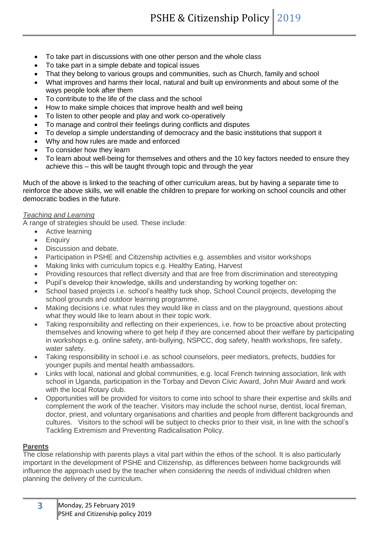- To take part in discussions with one other person and the whole class
- To take part in a simple debate and topical issues
- That they belong to various groups and communities, such as Church, family and school
- What improves and harms their local, natural and built up environments and about some of the ways people look after them
- To contribute to the life of the class and the school
- How to make simple choices that improve health and well being
- To listen to other people and play and work co-operatively
- To manage and control their feelings during conflicts and disputes
- To develop a simple understanding of democracy and the basic institutions that support it
- Why and how rules are made and enforced
- To consider how they learn
- To learn about well-being for themselves and others and the 10 key factors needed to ensure they achieve this – this will be taught through topic and through the year

Much of the above is linked to the teaching of other curriculum areas, but by having a separate time to reinforce the above skills, we will enable the children to prepare for working on school councils and other democratic bodies in the future.

#### *Teaching and Learning*

A range of strategies should be used. These include:

- Active learning
- Enquiry
- Discussion and debate.
- Participation in PSHE and Citizenship activities e.g. assemblies and visitor workshops
- Making links with curriculum topics e.g. Healthy Eating, Harvest
- Providing resources that reflect diversity and that are free from discrimination and stereotyping
- Pupil's develop their knowledge, skills and understanding by working together on:
- School based projects i.e. school's healthy tuck shop, School Council projects, developing the school grounds and outdoor learning programme.
- Making decisions i.e. what rules they would like in class and on the playground, questions about what they would like to learn about in their topic work.
- Taking responsibility and reflecting on their experiences, i.e. how to be proactive about protecting themselves and knowing where to get help if they are concerned about their welfare by participating in workshops e.g. online safety, anti-bullying, NSPCC, dog safety, health workshops, fire safety, water safety.
- Taking responsibility in school i.e. as school counselors, peer mediators, prefects, buddies for younger pupils and mental health ambassadors.
- Links with local, national and global communities, e.g. local French twinning association, link with school in Uganda, participation in the Torbay and Devon Civic Award, John Muir Award and work with the local Rotary club.
- Opportunities will be provided for visitors to come into school to share their expertise and skills and complement the work of the teacher. Visitors may include the school nurse, dentist, local fireman, doctor, priest, and voluntary organisations and charities and people from different backgrounds and cultures. Visitors to the school will be subject to checks prior to their visit, in line with the school's Tackling Extremism and Preventing Radicalisation Policy.

### **Parents**

The close relationship with parents plays a vital part within the ethos of the school. It is also particularly important in the development of PSHE and Citizenship, as differences between home backgrounds will influence the approach used by the teacher when considering the needs of individual children when planning the delivery of the curriculum.